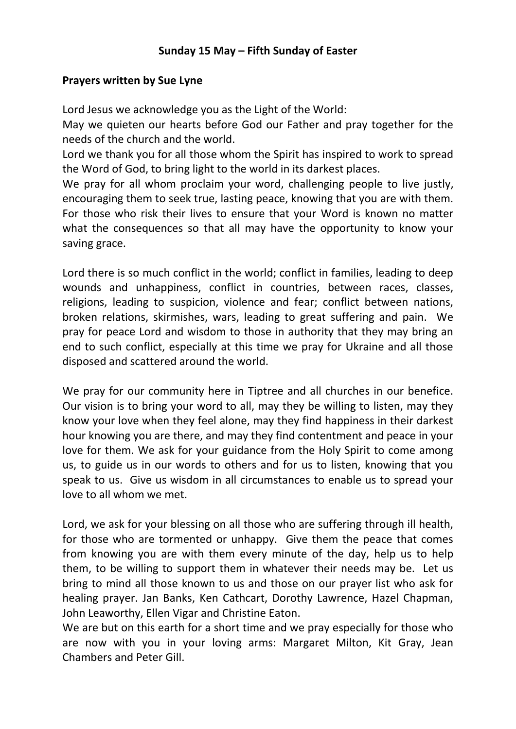## **Sunday 15 May – Fifth Sunday of Easter**

## **Prayers written by Sue Lyne**

Lord Jesus we acknowledge you as the Light of the World:

May we quieten our hearts before God our Father and pray together for the needs of the church and the world.

Lord we thank you for all those whom the Spirit has inspired to work to spread the Word of God, to bring light to the world in its darkest places.

We pray for all whom proclaim your word, challenging people to live justly, encouraging them to seek true, lasting peace, knowing that you are with them. For those who risk their lives to ensure that your Word is known no matter what the consequences so that all may have the opportunity to know your saving grace.

Lord there is so much conflict in the world; conflict in families, leading to deep wounds and unhappiness, conflict in countries, between races, classes, religions, leading to suspicion, violence and fear; conflict between nations, broken relations, skirmishes, wars, leading to great suffering and pain. We pray for peace Lord and wisdom to those in authority that they may bring an end to such conflict, especially at this time we pray for Ukraine and all those disposed and scattered around the world.

We pray for our community here in Tiptree and all churches in our benefice. Our vision is to bring your word to all, may they be willing to listen, may they know your love when they feel alone, may they find happiness in their darkest hour knowing you are there, and may they find contentment and peace in your love for them. We ask for your guidance from the Holy Spirit to come among us, to guide us in our words to others and for us to listen, knowing that you speak to us. Give us wisdom in all circumstances to enable us to spread your love to all whom we met.

Lord, we ask for your blessing on all those who are suffering through ill health, for those who are tormented or unhappy. Give them the peace that comes from knowing you are with them every minute of the day, help us to help them, to be willing to support them in whatever their needs may be. Let us bring to mind all those known to us and those on our prayer list who ask for healing prayer. Jan Banks, Ken Cathcart, Dorothy Lawrence, Hazel Chapman, John Leaworthy, Ellen Vigar and Christine Eaton.

We are but on this earth for a short time and we pray especially for those who are now with you in your loving arms: Margaret Milton, Kit Gray, Jean Chambers and Peter Gill.